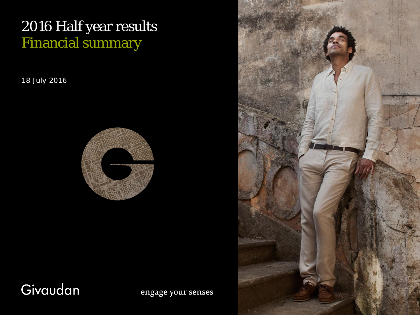# 2016 Half year results Financial summary

18 July 2016



# Givaudan

engage your senses

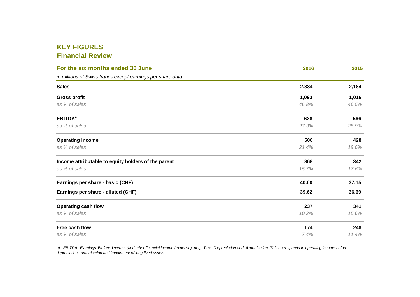# **KEY FIGURESFinancial Review**

| For the six months ended 30 June                           | 2016  | 2015  |
|------------------------------------------------------------|-------|-------|
| in millions of Swiss francs except earnings per share data |       |       |
| <b>Sales</b>                                               | 2,334 | 2,184 |
| <b>Gross profit</b>                                        | 1,093 | 1,016 |
| as % of sales                                              | 46.8% | 46.5% |
| <b>EBITDA</b> <sup>a</sup>                                 | 638   | 566   |
| as % of sales                                              | 27.3% | 25.9% |
| <b>Operating income</b>                                    | 500   | 428   |
| as % of sales                                              | 21.4% | 19.6% |
| Income attributable to equity holders of the parent        | 368   | 342   |
| as % of sales                                              | 15.7% | 17.6% |
| Earnings per share - basic (CHF)                           | 40.00 | 37.15 |
| Earnings per share - diluted (CHF)                         | 39.62 | 36.69 |
| <b>Operating cash flow</b>                                 | 237   | 341   |
| as % of sales                                              | 10.2% | 15.6% |
| Free cash flow                                             | 174   | 248   |
| as % of sales                                              | 7.4%  | 11.4% |

a) EBITDA: **E** arnings **<sup>B</sup>** efore **<sup>I</sup>** nterest (and other financial income (expense), net), **<sup>T</sup>** ax, **<sup>D</sup>** epreciation and **<sup>A</sup>** mortisation. This corresponds to operating income before depreciation, amortisation and impairment of long-lived assets.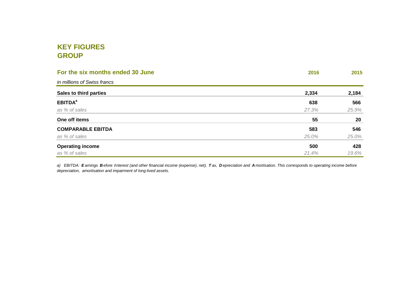# **KEY FIGURESGROUP**

| For the six months ended 30 June | 2016  | 2015  |
|----------------------------------|-------|-------|
| in millions of Swiss francs      |       |       |
| Sales to third parties           | 2,334 | 2,184 |
| <b>EBITDA</b> <sup>a</sup>       | 638   | 566   |
| as % of sales                    | 27.3% | 25.9% |
| One off items                    | 55    | 20    |
| <b>COMPARABLE EBITDA</b>         | 583   | 546   |
| as % of sales                    | 25.0% | 25.0% |
| <b>Operating income</b>          | 500   | 428   |
| as % of sales                    | 21.4% | 19.6% |

a) EBITDA: Earnings Before Interest (and other financial income (expense), net), Tax, Depreciation and Amortisation. This corresponds to operating income before<br>depreciation, amortisation and impairment of long-lived asset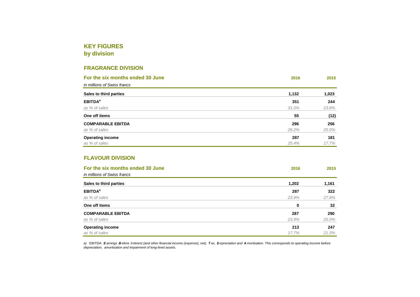## **KEY FIGURES**

**by division**

### **FRAGRANCE DIVISION**

| For the six months ended 30 June | 2016  | 2015  |
|----------------------------------|-------|-------|
| in millions of Swiss francs      |       |       |
| Sales to third parties           | 1,132 | 1,023 |
| <b>EBITDA</b> <sup>a</sup>       | 351   | 244   |
| as % of sales                    | 31.0% | 23.8% |
| One off items                    | 55    | (12)  |
| <b>COMPARABLE EBITDA</b>         | 296   | 256   |
| as % of sales                    | 26.2% | 25.0% |
| <b>Operating income</b>          | 287   | 181   |
| as % of sales                    | 25.4% | 17.7% |

#### **FLAVOUR DIVISION**

| For the six months ended 30 June<br>in millions of Swiss francs | 2016  | 2015  |
|-----------------------------------------------------------------|-------|-------|
| Sales to third parties                                          | 1,202 | 1,161 |
| <b>EBITDA<sup>a</sup></b>                                       | 287   | 322   |
| as % of sales                                                   | 23.9% | 27.8% |
| One off items                                                   | 0     | 32    |
| <b>COMPARABLE EBITDA</b>                                        | 287   | 290   |
| as % of sales                                                   | 23.9% | 25.0% |
| <b>Operating income</b>                                         | 213   | 247   |
| as % of sales                                                   | 17.7% | 21.3% |

a) EBITDA: Earnings Before Interest (and other financial income (expense), net), Tax, Depreciation and Amortisation. This corresponds to operating income before<br>depreciation, amortisation and impairment of long-lived asset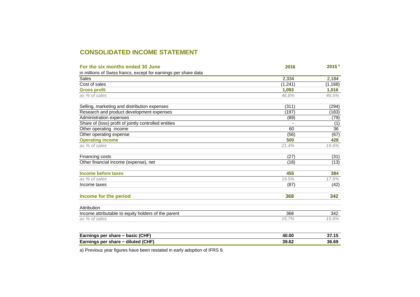## **CONSOLIDATED INCOME STATEMENT**

| For the six months ended 30 June                                | 2016     | 2015 <sup>a</sup> |
|-----------------------------------------------------------------|----------|-------------------|
| in millions of Swiss francs, except for earnings per share data |          |                   |
| <b>Sales</b>                                                    | 2,334    | 2,184             |
| Cost of sales                                                   | (1, 241) | (1, 168)          |
| <b>Gross profit</b>                                             | 1.093    | 1,016             |
| as % of sales                                                   | 46.8%    | 46.5%             |
| Selling, marketing and distribution expenses                    | (311)    | (294)             |
| Research and product development expenses                       | (197)    | (183)             |
| Administration expenses                                         | (89)     | (79)              |
| Share of (loss) profit of jointly controlled entities           |          | (1)               |
| Other operating income                                          | 60       | 36                |
| Other operating expense                                         | (56)     | (67)              |
| <b>Operating income</b>                                         | 500      | 428               |
| as % of sales                                                   | 21.4%    | 19.6%             |
| Financing costs                                                 | (27)     | (31)              |
| Other financial income (expense), net                           | (18)     | (13)              |
| Income before taxes                                             | 455      | 384               |
| as % of sales                                                   | 19.5%    | 17.6%             |
| Income taxes                                                    | (87)     | (42)              |
| Income for the period                                           | 368      | 342               |
| Attribution                                                     |          |                   |
| Income attributable to equity holders of the parent             | 368      | 342               |
| as % of sales                                                   | 15.7%    | 15.6%             |
|                                                                 | 40.00    | 37.15             |
| Earnings per share - basic (CHF)                                |          |                   |

**Earnings per share − diluted (CHF) 36.69**

**39.62**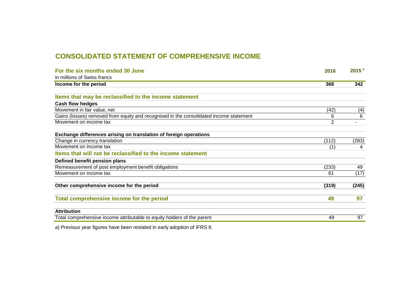## **CONSOLIDATED STATEMENT OF COMPREHENSIVE INCOME**

| For the six months ended 30 June                                                       | 2016           | 2015 <sup>a</sup> |
|----------------------------------------------------------------------------------------|----------------|-------------------|
| in millions of Swiss francs                                                            |                |                   |
| Income for the period                                                                  | 368            | 342               |
|                                                                                        |                |                   |
| Items that may be reclassified to the income statement                                 |                |                   |
| <b>Cash flow hedges</b>                                                                |                |                   |
| Movement in fair value, net                                                            | (42)           | (4)               |
| Gains (losses) removed from equity and recognised in the consolidated income statement | 6              | 6                 |
| Movement on income tax                                                                 | $\overline{2}$ |                   |
| Exchange differences arising on translation of foreign operations                      |                |                   |
| Change in currency translation                                                         | (112)          | (283)             |
| Movement on income tax                                                                 | (1)            | 4                 |
| Items that will not be reclassified to the income statement                            |                |                   |
| Defined benefit pension plans                                                          |                |                   |
| Remeasurement of post employment benefit obligations                                   | (233)          | 49                |
| Movement on income tax                                                                 | 61             | (17)              |
| Other comprehensive income for the period                                              | (319)          | (245)             |
| Total comprehensive income for the period                                              | 49             | 97                |
| <b>Attribution</b>                                                                     |                |                   |
| Total comprehensive income attributable to equity holders of the parent                | 49             | 97                |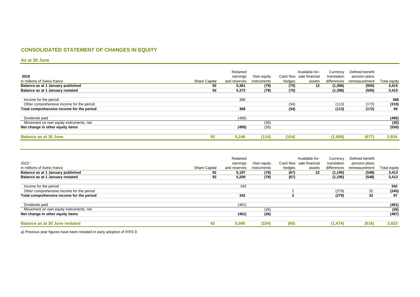#### **CONSOLIDATED STATEMENT OF CHANGES IN EQUITY**

#### **As at 30 June**

|                                           |                      | Retained     |             |        | Available-for-           | Currency    | Defined benefit |              |
|-------------------------------------------|----------------------|--------------|-------------|--------|--------------------------|-------------|-----------------|--------------|
| 2016                                      |                      | earnings     | Own equity  |        | Cash flow sale financial | translation | pension plans   |              |
| in millions of Swiss francs               | <b>Share Capital</b> | and reserves | instruments | hedges | assets                   | differences | remeasurement   | Total equity |
| Balance as at 1 January published         | 92                   | 5,361        | (79)        | (70)   | 12                       | (1, 396)    | (505)           | 3,415        |
| Balance as at 1 January restated          | 92                   | 5,373        | (79)        | (70)   |                          | (1, 396)    | (505)           | 3,415        |
| Income for the period                     |                      | 368          |             |        |                          |             |                 | 368          |
| Other comprehensive income for the period |                      |              |             | (34)   |                          | (113)       | (172)           | (319)        |
| Total comprehensive income for the period |                      | 368          |             | (34)   |                          | (113)       | (172)           | 49           |
| Dividends paid                            |                      | (495)        |             |        |                          |             |                 | (495)        |
| Movement on own equity instruments, net   |                      |              | (35)        |        |                          |             |                 | (35)         |
| Net change in other equity items          |                      | (495)        | (35)        |        |                          |             |                 | (530)        |
| <b>Balance as at 30 June</b>              | 92                   | 5,246        | (114)       | (104)  |                          | (1,509)     | (677)           | 2,934        |

|                                           |                      | Retained     |             |        | Available-for-           | Currency    | Defined benefit |              |
|-------------------------------------------|----------------------|--------------|-------------|--------|--------------------------|-------------|-----------------|--------------|
| $2015$ <sup>a</sup>                       |                      | earnings     | Own equity  |        | Cash flow sale financial | translation | pension plans   |              |
| in millions of Swiss francs               | <b>Share Capital</b> | and reserves | instruments | hedges | assets                   | differences | remeasurement   | Total equity |
| Balance as at 1 January published         | 92                   | 5,187        | (78)        | (67)   | 22                       | (1, 195)    | (548)           | 3,413        |
| Balance as at 1 January restated          | 92                   | 5,209        | (78)        | (67)   |                          | (1, 195)    | (548)           | 3,413        |
|                                           |                      |              |             |        |                          |             |                 |              |
| Income for the period                     |                      | 342          |             |        |                          |             |                 | 342          |
| Other comprehensive income for the period |                      |              |             | 2      |                          | (279)       | 32              | (245)        |
| Total comprehensive income for the period |                      | 342          |             |        |                          | (279)       | 32              | 97           |
| Dividends paid                            |                      | (461)        |             |        |                          |             |                 | (461)        |
| Movement on own equity instruments, net   |                      |              | (26)        |        |                          |             |                 | (26)         |
| Net change in other equity items          |                      | (461)        | (26)        |        |                          |             |                 | (487)        |
| <b>Balance as at 30 June restated</b>     | 92                   | 5,090        | (104)       | (65)   |                          | (1, 474)    | (516)           | 3,023        |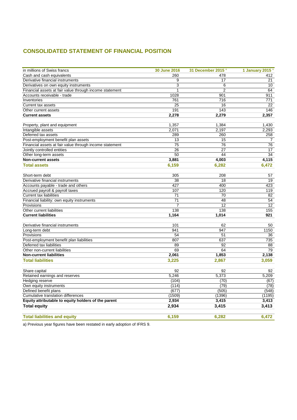### **CONSOLIDATED STATEMENT OF FINANCIAL POSITION**

| in millions of Swiss francs                             | 30 June 2016 | 31 December 2015 <sup>a</sup> | 1 January 2015 <sup>a</sup> |
|---------------------------------------------------------|--------------|-------------------------------|-----------------------------|
| Cash and cash equivalents                               | 260          | 478                           | 412                         |
| Derivative financial instruments                        | 9            | 17                            | 21                          |
| Derivatives on own equity instruments                   | 3            | 6                             | 10                          |
| Financial assets at fair value through income statement | 1            | $\overline{2}$                | 64                          |
| Accounts receivable - trade                             | 1028         | 901                           | 911                         |
| Inventories                                             | 761          | 716                           | 771                         |
| Current tax assets                                      | 25           | 16                            | 22                          |
| Other current assets                                    | 191          | 143                           | 146                         |
| <b>Current assets</b>                                   | 2,278        | 2,279                         | 2,357                       |
| Property, plant and equipment                           | 1,357        | 1,384                         | 1,430                       |
| Intangible assets                                       | 2,071        | 2,197                         | 2,293                       |
| Deferred tax assets                                     | 289          | 260                           | 258                         |
| Post-employment benefit plan assets                     | 13           | 15                            | $\overline{7}$              |
| Financial assets at fair value through income statement | 75           | 76                            | 76                          |
| Jointly controlled entities                             | 26           | 27                            | 17                          |
| Other long-term assets                                  | 50           | 44                            | $\overline{34}$             |
| <b>Non-current assets</b>                               | 3,881        | 4,003                         | 4,115                       |
| <b>Total assets</b>                                     | 6,159        | 6,282                         | 6,472                       |
| Short-term debt                                         | 305          | 208                           | 57                          |
| Derivative financial instruments                        | 38           | 18                            | 19                          |
| Accounts payable - trade and others                     | 427          | 400                           | 423                         |
| Accrued payroll & payroll taxes                         | 107          | 120                           | 119                         |
| <b>Current tax liabilities</b>                          | 71           | 70                            | 82                          |
| Financial liability: own equity instruments             | 71           | 48                            | 54                          |
| Provisions                                              | 7            | 12                            | 12                          |
| Other current liabilities                               | 138          | 138                           | 155                         |
| <b>Current liabilities</b>                              | 1,164        | 1,014                         | 921                         |
| Derivative financial instruments                        | 101          | 62                            | 50                          |
| Long-term debt                                          | 941          | 947                           | 1150                        |
| Provisions                                              | 54           | 51                            | 36                          |
| Post-employment benefit plan liabilities                | 807          | 637                           | 735                         |
| Deferred tax liabilities                                | 89           | 92                            | 88                          |
| Other non-current liabilities                           | 69           | 64                            | 79                          |
| <b>Non-current liabilities</b>                          | 2,061        | 1,853                         | 2,138                       |
| <b>Total liabilities</b>                                | 3,225        | 2,867                         | 3,059                       |
| Share capital                                           | 92           | 92                            | 92                          |
| Retained earnings and reserves                          | 5,246        | 5,373                         | 5,209                       |
| Hedging reserve                                         | (104)        | (70)                          | (67)                        |
| Own equity instruments                                  | (114)        | (79)                          | (78)                        |
| Defined benefit plans                                   | (677)        | (505)                         | (548)                       |
| Cumulative translation differences                      | (1509)       | (1396)                        | (1195)                      |
| Equity attributable to equity holders of the parent     | 2,934        | 3,415                         | 3,413                       |
| <b>Total equity</b>                                     | 2,934        | 3,415                         | 3,413                       |
| <b>Total liabilities and equity</b>                     | 6,159        | 6,282                         | 6,472                       |